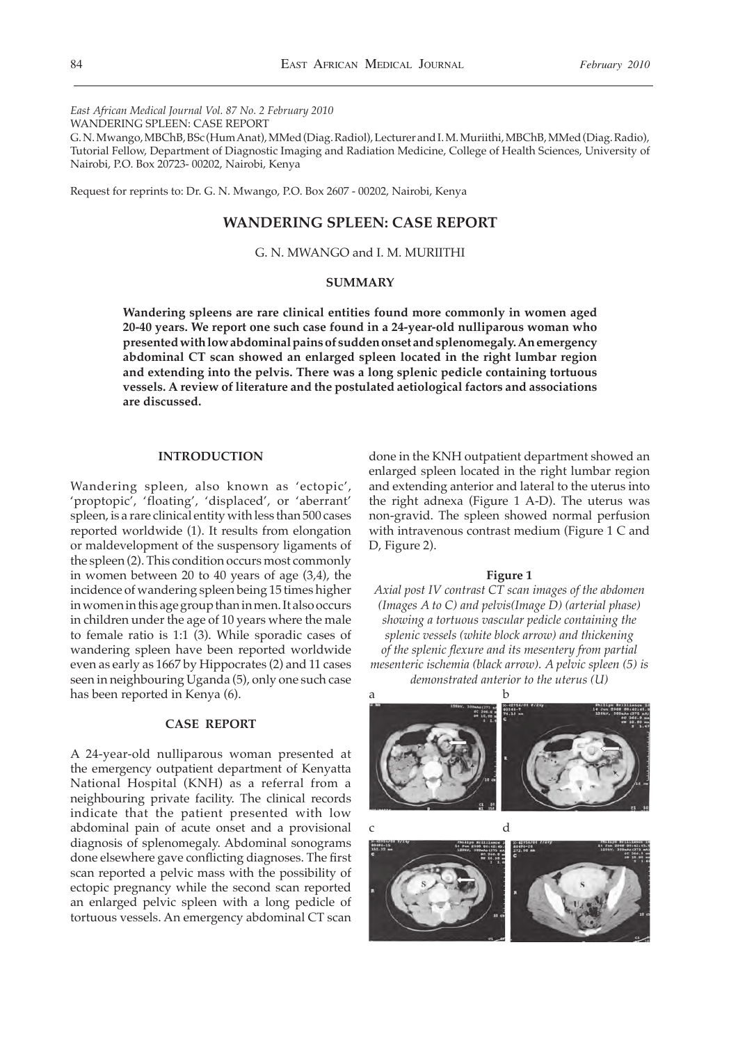*East African Medical Journal Vol. 87 No. 2 February 2010*

WANDERING SPLEEN: CASE REPORT

G. N. Mwango, MBChB, BSc (Hum Anat), MMed (Diag. Radiol), Lecturer and I. M. Muriithi, MBChB, MMed (Diag. Radio), Tutorial Fellow, Department of Diagnostic Imaging and Radiation Medicine, College of Health Sciences, University of Nairobi, P.O. Box 20723- 00202, Nairobi, Kenya

Request for reprints to: Dr. G. N. Mwango, P.O. Box 2607 - 00202, Nairobi, Kenya

# **WANDERING SPLEEN: CASE REPORT**

# G. N. MWANGO and I. M. MURIITHI

## **SUMMARY**

**Wandering spleens are rare clinical entities found more commonly in women aged 20-40 years. We report one such case found in a 24-year-old nulliparous woman who presented with low abdominal pains of sudden onset and splenomegaly. An emergency abdominal CT scan showed an enlarged spleen located in the right lumbar region and extending into the pelvis. There was a long splenic pedicle containing tortuous vessels. A review of literature and the postulated aetiological factors and associations are discussed.** 

## **INTRODUCTION**

Wandering spleen, also known as 'ectopic', 'proptopic', 'floating', 'displaced', or 'aberrant' spleen, is a rare clinical entity with less than 500 cases reported worldwide (1). It results from elongation or maldevelopment of the suspensory ligaments of the spleen (2). This condition occurs most commonly in women between 20 to 40 years of age (3,4), the incidence of wandering spleen being 15 times higher in women in this age group than in men. It also occurs in children under the age of 10 years where the male to female ratio is 1:1 (3). While sporadic cases of wandering spleen have been reported worldwide even as early as 1667 by Hippocrates (2) and 11 cases seen in neighbouring Uganda (5), only one such case has been reported in Kenya (6).

## **CASE REPORT**

A 24-year-old nulliparous woman presented at the emergency outpatient department of Kenyatta National Hospital (KNH) as a referral from a neighbouring private facility. The clinical records indicate that the patient presented with low abdominal pain of acute onset and a provisional diagnosis of splenomegaly. Abdominal sonograms done elsewhere gave conflicting diagnoses. The first scan reported a pelvic mass with the possibility of ectopic pregnancy while the second scan reported an enlarged pelvic spleen with a long pedicle of tortuous vessels. An emergency abdominal CT scan

done in the KNH outpatient department showed an enlarged spleen located in the right lumbar region and extending anterior and lateral to the uterus into the right adnexa (Figure 1 A-D). The uterus was non-gravid. The spleen showed normal perfusion with intravenous contrast medium (Figure 1 C and D, Figure 2).

### **Figure 1**

*Axial post IV contrast CT scan images of the abdomen (Images A to C) and pelvis(Image D) (arterial phase) showing a tortuous vascular pedicle containing the splenic vessels (white block arrow) and thickening of the splenic flexure and its mesentery from partial mesenteric ischemia (black arrow). A pelvic spleen (5) is demonstrated anterior to the uterus (U)*

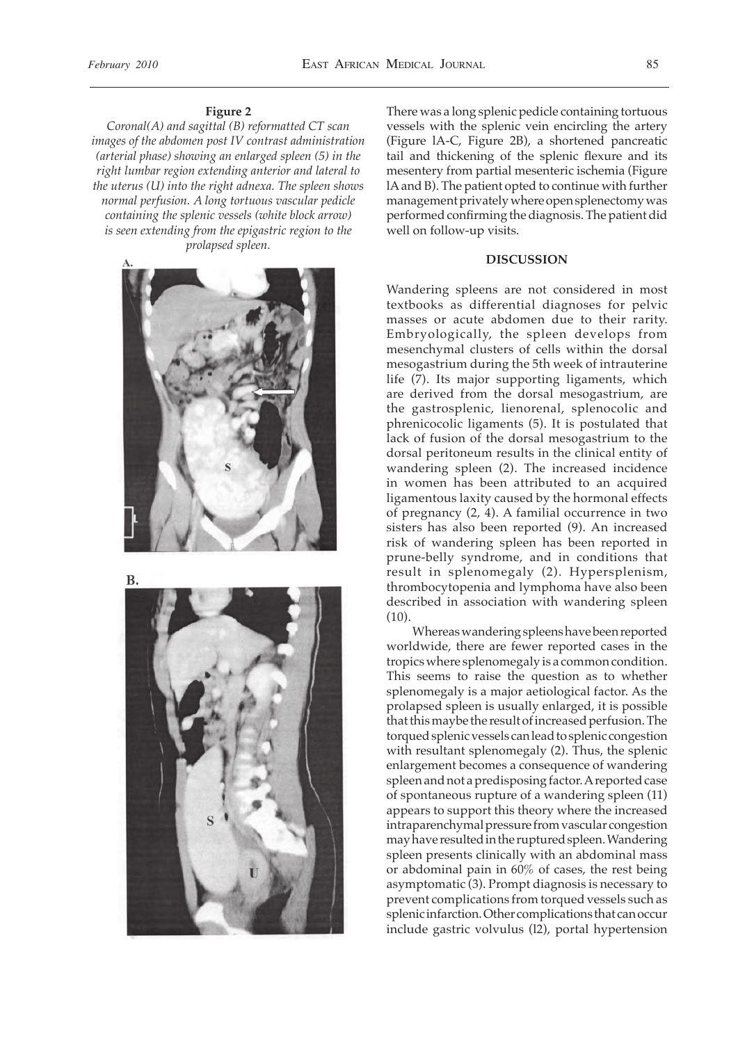## **Figure 2**

*Coronal(A) and sagittal (B) reformatted CT scan images of the abdomen post IV contrast administration (arterial phase) showing an enlarged spleen (5) in the right lumbar region extending anterior and lateral to the uterus (U) into the right adnexa. The spleen shows normal perfusion. A long tortuous vascular pedicle containing the splenic vessels (white block arrow) is seen extending from the epigastric region to the prolapsed spleen.* 



**B.** 



There was a long splenic pedicle containing tortuous vessels with the splenic vein encircling the artery (Figure lA-C, Figure 2B), a shortened pancreatic tail and thickening of the splenic flexure and its mesentery from partial mesenteric ischemia (Figure lA and B). The patient opted to continue with further management privately where open splenectomy was performed confirming the diagnosis. The patient did well on follow-up visits.

## **DISCUSSION**

Wandering spleens are not considered in most textbooks as differential diagnoses for pelvic masses or acute abdomen due to their rarity. Embryologically, the spleen develops from mesenchymal clusters of cells within the dorsal mesogastrium during the 5th week of intrauterine life (7). Its major supporting ligaments, which are derived from the dorsal mesogastrium, are the gastrosplenic, lienorenal, splenocolic and phrenicocolic ligaments (5). It is postulated that lack of fusion of the dorsal mesogastrium to the dorsal peritoneum results in the clinical entity of wandering spleen (2). The increased incidence in women has been attributed to an acquired ligamentous laxity caused by the hormonal effects of pregnancy (2, 4). A familial occurrence in two sisters has also been reported (9). An increased risk of wandering spleen has been reported in prune-belly syndrome, and in conditions that result in splenomegaly (2). Hypersplenism, thrombocytopenia and lymphoma have also been described in association with wandering spleen (10).

 Whereas wandering spleens have been reported worldwide, there are fewer reported cases in the tropics where splenomegaly is a common condition. This seems to raise the question as to whether splenomegaly is a major aetiological factor. As the prolapsed spleen is usually enlarged, it is possible that this maybe the result of increased perfusion. The torqued splenic vessels can lead to splenic congestion with resultant splenomegaly (2). Thus, the splenic enlargement becomes a consequence of wandering spleen and not a predisposing factor. A reported case of spontaneous rupture of a wandering spleen (11) appears to support this theory where the increased intraparenchymal pressure from vascular congestion may have resulted in the ruptured spleen. Wandering spleen presents clinically with an abdominal mass or abdominal pain in 60% of cases, the rest being asymptomatic (3). Prompt diagnosis is necessary to prevent complications from torqued vessels such as splenic infarction. Other complications that can occur include gastric volvulus (l2), portal hypertension